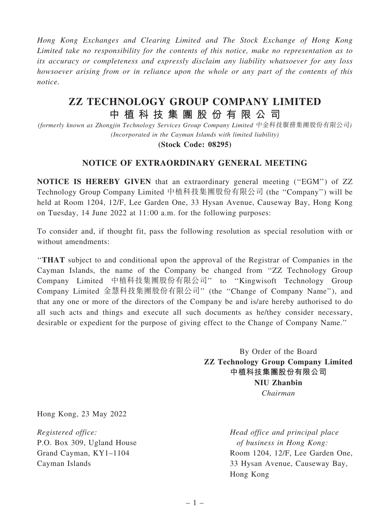Hong Kong Exchanges and Clearing Limited and The Stock Exchange of Hong Kong Limited take no responsibility for the contents of this notice, make no representation as to its accuracy or completeness and expressly disclaim any liability whatsoever for any loss howsoever arising from or in reliance upon the whole or any part of the contents of this notice.

# ZZ TECHNOLOGY GROUP COMPANY LIMITED 中 植 科 技 集 團 股 份 有 限 公 司

(formerly known as Zhongjin Technology Services Group Company Limited 中金科技服務集團股份有限公司) (Incorporated in the Cayman Islands with limited liability)

(Stock Code: 08295)

### NOTICE OF EXTRAORDINARY GENERAL MEETING

NOTICE IS HEREBY GIVEN that an extraordinary general meeting (''EGM'') of ZZ Technology Group Company Limited 中植科技集團股份有限公司 (the ''Company'') will be held at Room 1204, 12/F, Lee Garden One, 33 Hysan Avenue, Causeway Bay, Hong Kong on Tuesday, 14 June 2022 at 11:00 a.m. for the following purposes:

To consider and, if thought fit, pass the following resolution as special resolution with or without amendments:

''THAT subject to and conditional upon the approval of the Registrar of Companies in the Cayman Islands, the name of the Company be changed from ''ZZ Technology Group Company Limited 中植科技集團股份有限公司'' to ''Kingwisoft Technology Group Company Limited 金慧科技集團股份有限公司'' (the ''Change of Company Name''), and that any one or more of the directors of the Company be and is/are hereby authorised to do all such acts and things and execute all such documents as he/they consider necessary, desirable or expedient for the purpose of giving effect to the Change of Company Name.''

> By Order of the Board ZZ Technology Group Company Limited 中植科技集團股份有限公司 NIU Zhanbin Chairman

Hong Kong, 23 May 2022

Registered office: P.O. Box 309, Ugland House Grand Cayman, KY1–1104 Cayman Islands

Head office and principal place of business in Hong Kong: Room 1204, 12/F, Lee Garden One, 33 Hysan Avenue, Causeway Bay, Hong Kong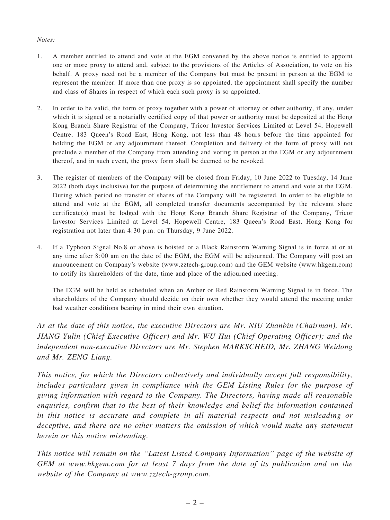### Notes:

- 1. A member entitled to attend and vote at the EGM convened by the above notice is entitled to appoint one or more proxy to attend and, subject to the provisions of the Articles of Association, to vote on his behalf. A proxy need not be a member of the Company but must be present in person at the EGM to represent the member. If more than one proxy is so appointed, the appointment shall specify the number and class of Shares in respect of which each such proxy is so appointed.
- 2. In order to be valid, the form of proxy together with a power of attorney or other authority, if any, under which it is signed or a notarially certified copy of that power or authority must be deposited at the Hong Kong Branch Share Registrar of the Company, Tricor Investor Services Limited at Level 54, Hopewell Centre, 183 Queen's Road East, Hong Kong, not less than 48 hours before the time appointed for holding the EGM or any adjournment thereof. Completion and delivery of the form of proxy will not preclude a member of the Company from attending and voting in person at the EGM or any adjournment thereof, and in such event, the proxy form shall be deemed to be revoked.
- 3. The register of members of the Company will be closed from Friday, 10 June 2022 to Tuesday, 14 June 2022 (both days inclusive) for the purpose of determining the entitlement to attend and vote at the EGM. During which period no transfer of shares of the Company will be registered. In order to be eligible to attend and vote at the EGM, all completed transfer documents accompanied by the relevant share certificate(s) must be lodged with the Hong Kong Branch Share Registrar of the Company, Tricor Investor Services Limited at Level 54, Hopewell Centre, 183 Queen's Road East, Hong Kong for registration not later than 4:30 p.m. on Thursday, 9 June 2022.
- 4. If a Typhoon Signal No.8 or above is hoisted or a Black Rainstorm Warning Signal is in force at or at any time after 8:00 am on the date of the EGM, the EGM will be adjourned. The Company will post an announcement on Company's website (www.zztech-group.com) and the GEM website (www.hkgem.com) to notify its shareholders of the date, time and place of the adjourned meeting.

The EGM will be held as scheduled when an Amber or Red Rainstorm Warning Signal is in force. The shareholders of the Company should decide on their own whether they would attend the meeting under bad weather conditions bearing in mind their own situation.

As at the date of this notice, the executive Directors are Mr. NIU Zhanbin (Chairman), Mr. JIANG Yulin (Chief Executive Officer) and Mr. WU Hui (Chief Operating Officer); and the independent non-executive Directors are Mr. Stephen MARKSCHEID, Mr. ZHANG Weidong and Mr. ZENG Liang.

This notice, for which the Directors collectively and individually accept full responsibility, includes particulars given in compliance with the GEM Listing Rules for the purpose of giving information with regard to the Company. The Directors, having made all reasonable enquiries, confirm that to the best of their knowledge and belief the information contained in this notice is accurate and complete in all material respects and not misleading or deceptive, and there are no other matters the omission of which would make any statement herein or this notice misleading.

This notice will remain on the ''Latest Listed Company Information'' page of the website of GEM at www.hkgem.com for at least 7 days from the date of its publication and on the website of the Company at www.zztech-group.com.